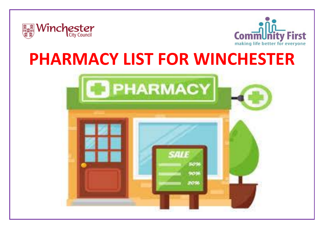



# **PHARMACY LIST FOR WINCHESTER**

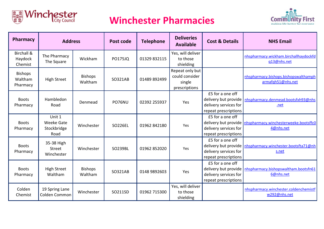

### **Winchester Pharmacies**



| <b>Pharmacy</b>                             | <b>Address</b>                                     |                           | Post code      | <b>Telephone</b> | <b>Deliveries</b><br><b>Available</b>                        | <b>Cost &amp; Details</b>                                                                 | <b>NHS Email</b>                                                          |
|---------------------------------------------|----------------------------------------------------|---------------------------|----------------|------------------|--------------------------------------------------------------|-------------------------------------------------------------------------------------------|---------------------------------------------------------------------------|
| <b>Birchall &amp;</b><br>Haydock<br>Chemist | The Pharmacy<br>The Square                         | Wickham                   | <b>PO175JQ</b> | 01329 832115     | Yes, will deliver<br>to those<br>shielding                   |                                                                                           | nhspharmacy.wickham.birchallhaydockfd<br>q13@nhs.net                      |
| <b>Bishops</b><br>Waltham<br>Pharmacy       | <b>High Street</b>                                 | <b>Bishops</b><br>Waltham | SO321AB        | 01489 892499     | Repeat only but<br>could consider<br>single<br>prescriptions |                                                                                           | nhspharmacy.bishops.bishopswalthamph<br>armafqh51@nhs.net                 |
| <b>Boots</b><br>Pharmacy                    | Hambledon<br>Road                                  | Denmead                   | PO76NU         | 02392 255937     | Yes                                                          | £5 for a one off<br>delivery but provide<br>delivery services for<br>repeat prescriptions | nhspharmacy.denmead.bootsfxh93@nhs<br>.net                                |
| <b>Boots</b><br>Pharmacy                    | Unit 1<br><b>Weeke Gate</b><br>Stockbridge<br>Road | Winchester                | <b>SO226EL</b> | 01962 842180     | Yes                                                          | £5 for a one off<br>delivery services for<br>repeat prescriptions                         | delivery but provide   nhspharmacy.winchesterweeke.bootsffc0<br>4@nhs.net |
| <b>Boots</b><br>Pharmacy                    | 35-38 High<br>Street<br>Winchester                 | Winchester                | SO239BL        | 01962 852020     | Yes                                                          | £5 for a one off<br>delivery but provide<br>delivery services for<br>repeat prescriptions | nhspharmacy.winchester.bootsfta71@nh<br>s.net                             |
| <b>Boots</b><br>Pharmacy                    | <b>High Street</b><br>Waltham                      | <b>Bishops</b><br>Waltham | SO321AB        | 0148 9892603     | Yes                                                          | £5 for a one off<br>delivery but provide<br>delivery services for<br>repeat prescriptions | nhspharmacy.bishopswaltham.bootsfn61<br>6@nhs.net                         |
| Colden<br>Chemist                           | 19 Spring Lane<br>Colden Common                    | Winchester                | SO211SD        | 01962 715300     | Yes, will deliver<br>to those<br>shielding                   |                                                                                           | nhspharmacy.winchester.coldenchemistf<br>w292@nhs.net                     |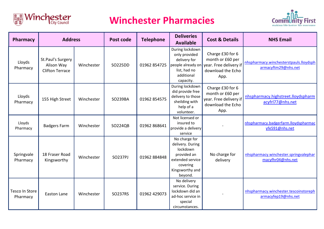

### **Winchester Pharmacies**



| Pharmacy                   | <b>Address</b>                                            |            | Post code      | <b>Telephone</b> | <b>Deliveries</b><br><b>Available</b>                                                                                      | <b>Cost &amp; Details</b>                                                                   | <b>NHS Email</b>                                              |
|----------------------------|-----------------------------------------------------------|------------|----------------|------------------|----------------------------------------------------------------------------------------------------------------------------|---------------------------------------------------------------------------------------------|---------------------------------------------------------------|
| Lloyds<br>Pharmacy         | St.Paul's Surgery<br>Alison Way<br><b>Clifton Terrace</b> | Winchester | SO225DD        | 01962 854725     | During lockdown<br>only provided<br>delivery for<br>people already on<br>list, had no<br>additional<br>capacity.           | Charge £30 for 6<br>month or £60 per<br>year. Free delivery if<br>download the Echo<br>App. | nhspharmacy.winchesterstpauls.lloydsph<br>armacyftm29@nhs.net |
| Lloyds<br>Pharmacy         | 155 High Street                                           | Winchester | SO239BA        | 01962 854575     | During lockdown<br>did provide free<br>delivery to those<br>sheilding with<br>help of a<br>volunteer.                      | Charge £30 for 6<br>month or £60 per<br>year. Free delivery if<br>download the Echo<br>App. | nhspharmacy.highstreet.lloydspharm<br>acyfrl77@nhs.net        |
| Lloyds<br>Pharmacy         | <b>Badgers Farm</b>                                       | Winchester | SO224QB        | 01962 868641     | Not licensed or<br>insured to<br>provide a delivery<br>service                                                             |                                                                                             | nhspharmacy.badgerfarm.lloydspharmac<br>yfe591@nhs.net        |
| Springvale<br>Pharmacy     | 18 Fraser Road<br>Kingsworthy                             | Winchester | <b>SO237PJ</b> | 01962 884848     | No charge for<br>delivery. During<br>lockdown<br>provided an<br>extended service<br>covering<br>Kingsworthy and<br>beyond. | No charge for<br>delivery                                                                   | nhspharmacy.winchester.springvalephar<br>macyfhr04@nhs.net    |
| Tesco In Store<br>Pharmacy | Easton Lane                                               | Winchester | <b>SO237RS</b> | 01962 429073     | No delivery<br>service. During<br>lockdown did an<br>ad-hoc service in<br>special<br>circumstances.                        |                                                                                             | nhspharmacy.winchester.tescoinstoreph<br>armacyfep19@nhs.net  |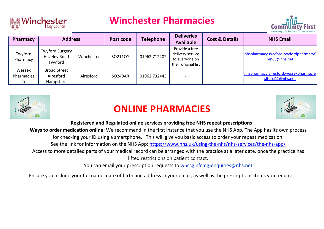

#### **Winchester Pharmacies**



| Pharmacy                    | <b>Address</b>                                    |            | Post code      | <b>Telephone</b> | <b>Deliveries</b><br><b>Available</b>                                       | <b>Cost &amp; Details</b> | <b>NHS Email</b>                                           |
|-----------------------------|---------------------------------------------------|------------|----------------|------------------|-----------------------------------------------------------------------------|---------------------------|------------------------------------------------------------|
| Twyford<br>Pharmacy         | <b>Twyford Surgery</b><br>Hazeley Road<br>Twyford | Winchester | SO211QY        | 01962 712202     | Provide a free<br>delivery service<br>to everyone on<br>their original list |                           | nhspharmacy.twyford.twyfordpharmacyf<br>mn63@nhs.net       |
| Wessex<br>Pharmacies<br>Ltd | <b>Broad Street</b><br>Alresford<br>Hampshire     | Alresford  | <b>SO249AR</b> | 01962 732445     |                                                                             |                           | nhspharmacy.alresford.wessexpharmacie<br>sltdfxj11@nhs.net |



## **ONLINE PHARMACIES**



#### **Registered and Regulated online services providing free NHS repeat prescriptions**

**Ways to order medication online:** We recommend in the first instance that you use the NHS App. The App has its own process

for checking your ID using a smartphone. This will give you basic access to order your repeat medication.

See the link for information on the NHS App:<https://www.nhs.uk/using-the-nhs/nhs-services/the-nhs-app/>

Access to more detailed parts of your medical record can be arranged with the practice at a later date, once the practice has lifted restrictions on patient contact.

You can email your prescription requests to whccg.nfcmg-enquiries@nhs.net

Ensure you include your full name, date of birth and address in your email, as well as the prescriptions items you require.